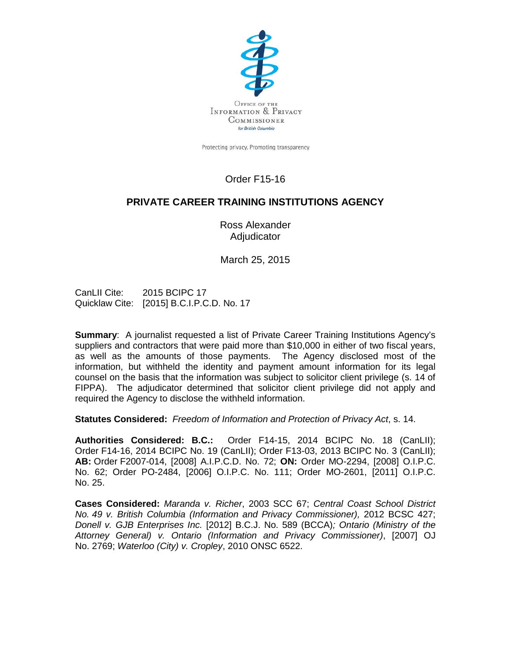

Protecting privacy. Promoting transparency.

# Order F15-16

## **PRIVATE CAREER TRAINING INSTITUTIONS AGENCY**

Ross Alexander Adjudicator

March 25, 2015

CanLII Cite: 2015 BCIPC 17 Quicklaw Cite: [2015] B.C.I.P.C.D. No. 17

**Summary**: A journalist requested a list of Private Career Training Institutions Agency's suppliers and contractors that were paid more than \$10,000 in either of two fiscal years, as well as the amounts of those payments. The Agency disclosed most of the information, but withheld the identity and payment amount information for its legal counsel on the basis that the information was subject to solicitor client privilege (s. 14 of FIPPA). The adjudicator determined that solicitor client privilege did not apply and required the Agency to disclose the withheld information.

**Statutes Considered:** *Freedom of Information and Protection of Privacy Act*, s. 14.

**Authorities Considered: B.C.:** Order F14-15, 2014 BCIPC No. 18 (CanLII); Order F14-16, 2014 BCIPC No. 19 (CanLII); Order F13-03, 2013 BCIPC No. 3 (CanLII); **AB:** Order F2007-014, [2008] A.I.P.C.D. No. 72; **ON:** Order MO-2294, [2008] O.I.P.C. No. 62; Order PO-2484, [2006] O.I.P.C. No. 111; Order MO-2601, [2011] O.I.P.C. No. 25.

**Cases Considered:** *Maranda v. Richer*, [2003 SCC 67;](https://www.lexisnexis.com/ca/legal/search/runRemoteLink.do?A=0.14913153276499735&bct=A&service=citation&risb=21_T21222619331&langcountry=CA&linkInfo=F%23CA%23SCC%23sel1%252003%25year%252003%25decisiondate%252003%25onum%2567%25) *Central Coast School District No. 49 v. British Columbia (Information and Privacy Commissioner),* 2012 BCSC 427; *Donell v. GJB Enterprises Inc.* [2012] B.C.J. No. 589 (BCCA)*; Ontario (Ministry of the Attorney General) v. Ontario (Information and Privacy Commissioner)*, [2007] OJ No. 2769; *Waterloo (City) v. Cropley*, 2010 ONSC 6522.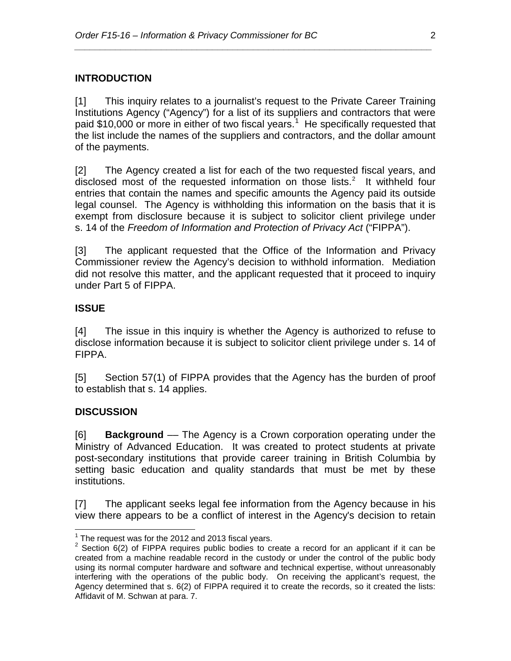## **INTRODUCTION**

[1] This inquiry relates to a journalist's request to the Private Career Training Institutions Agency ("Agency") for a list of its suppliers and contractors that were paid \$[1](#page-1-0)0,000 or more in either of two fiscal years.<sup>1</sup> He specifically requested that the list include the names of the suppliers and contractors, and the dollar amount of the payments.

*\_\_\_\_\_\_\_\_\_\_\_\_\_\_\_\_\_\_\_\_\_\_\_\_\_\_\_\_\_\_\_\_\_\_\_\_\_\_\_\_\_\_\_\_\_\_\_\_\_\_\_\_\_\_\_\_\_\_\_\_\_\_\_\_\_\_\_\_\_\_*

[2] The Agency created a list for each of the two requested fiscal years, and disclosed most of the requested information on those lists. [2](#page-1-1) It withheld four entries that contain the names and specific amounts the Agency paid its outside legal counsel. The Agency is withholding this information on the basis that it is exempt from disclosure because it is subject to solicitor client privilege under s. 14 of the *Freedom of Information and Protection of Privacy Act* ("FIPPA").

[3] The applicant requested that the Office of the Information and Privacy Commissioner review the Agency's decision to withhold information. Mediation did not resolve this matter, and the applicant requested that it proceed to inquiry under Part 5 of FIPPA.

## **ISSUE**

[4] The issue in this inquiry is whether the Agency is authorized to refuse to disclose information because it is subject to solicitor client privilege under s. 14 of FIPPA.

[5] Section 57(1) of FIPPA provides that the Agency has the burden of proof to establish that s. 14 applies.

#### **DISCUSSION**

[6] **Background** –– The Agency is a Crown corporation operating under the Ministry of Advanced Education. It was created to protect students at private post-secondary institutions that provide career training in British Columbia by setting basic education and quality standards that must be met by these institutions.

[7] The applicant seeks legal fee information from the Agency because in his view there appears to be a conflict of interest in the Agency's decision to retain

<span id="page-1-1"></span>

<span id="page-1-0"></span><sup>&</sup>lt;sup>1</sup> The request was for the 2012 and 2013 fiscal years.<br><sup>2</sup> Section 6(2) of FIPPA requires public bodies to create a record for an applicant if it can be created from a machine readable record in the custody or under the control of the public body using its normal computer hardware and software and technical expertise, without unreasonably interfering with the operations of the public body. On receiving the applicant's request, the Agency determined that s. 6(2) of FIPPA required it to create the records, so it created the lists: Affidavit of M. Schwan at para. 7.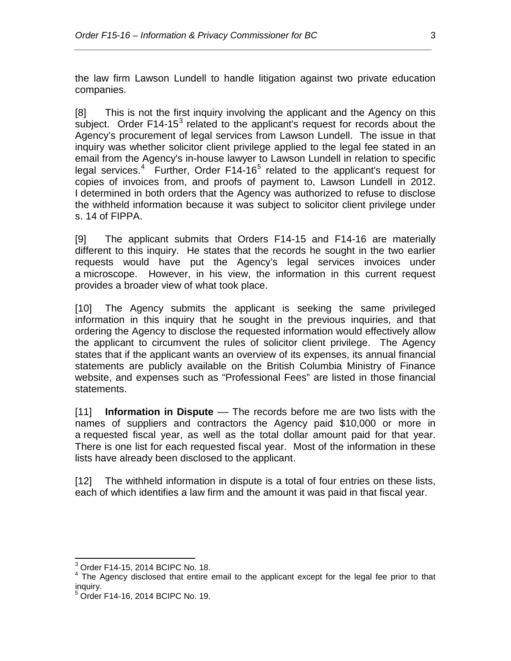the law firm Lawson Lundell to handle litigation against two private education companies.

*\_\_\_\_\_\_\_\_\_\_\_\_\_\_\_\_\_\_\_\_\_\_\_\_\_\_\_\_\_\_\_\_\_\_\_\_\_\_\_\_\_\_\_\_\_\_\_\_\_\_\_\_\_\_\_\_\_\_\_\_\_\_\_\_\_\_\_\_\_\_*

[8] This is not the first inquiry involving the applicant and the Agency on this subject. Order F14-15 $3$  related to the applicant's request for records about the Agency's procurement of legal services from Lawson Lundell. The issue in that inquiry was whether solicitor client privilege applied to the legal fee stated in an email from the Agency's in-house lawyer to Lawson Lundell in relation to specific legal services.<sup>[4](#page-2-1)</sup> Further, Order F14-16<sup>[5](#page-2-2)</sup> related to the applicant's request for copies of invoices from, and proofs of payment to, Lawson Lundell in 2012. I determined in both orders that the Agency was authorized to refuse to disclose the withheld information because it was subject to solicitor client privilege under s. 14 of FIPPA.

[9] The applicant submits that Orders F14-15 and F14-16 are materially different to this inquiry. He states that the records he sought in the two earlier requests would have put the Agency's legal services invoices under a microscope. However, in his view, the information in this current request provides a broader view of what took place.

[10] The Agency submits the applicant is seeking the same privileged information in this inquiry that he sought in the previous inquiries, and that ordering the Agency to disclose the requested information would effectively allow the applicant to circumvent the rules of solicitor client privilege. The Agency states that if the applicant wants an overview of its expenses, its annual financial statements are publicly available on the British Columbia Ministry of Finance website, and expenses such as "Professional Fees" are listed in those financial statements.

[11] **Information in Dispute** –– The records before me are two lists with the names of suppliers and contractors the Agency paid \$10,000 or more in a requested fiscal year, as well as the total dollar amount paid for that year. There is one list for each requested fiscal year. Most of the information in these lists have already been disclosed to the applicant.

[12] The withheld information in dispute is a total of four entries on these lists, each of which identifies a law firm and the amount it was paid in that fiscal year.

<span id="page-2-0"></span> <sup>3</sup> Order F14-15, 2014 BCIPC No. 18.

<span id="page-2-1"></span><sup>&</sup>lt;sup>4</sup> The Agency disclosed that entire email to the applicant except for the legal fee prior to that inquiry.

<span id="page-2-2"></span><sup>5</sup> Order F14-16, 2014 BCIPC No. 19.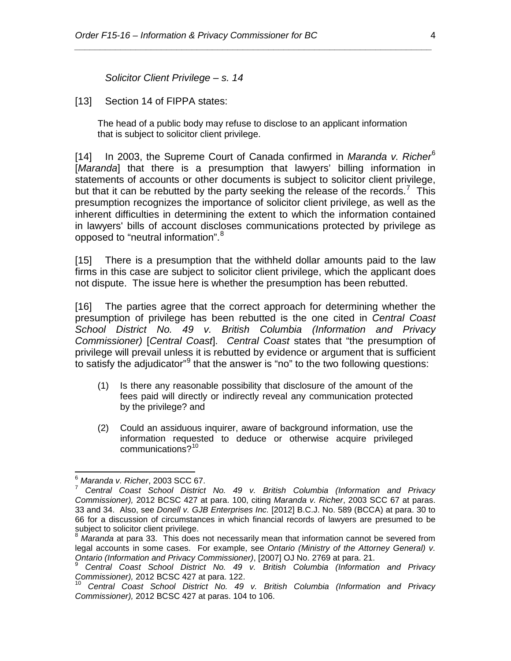*Solicitor Client Privilege – s. 14* 

[13] Section 14 of FIPPA states:

The head of a public body may refuse to disclose to an applicant information that is subject to solicitor client privilege.

*\_\_\_\_\_\_\_\_\_\_\_\_\_\_\_\_\_\_\_\_\_\_\_\_\_\_\_\_\_\_\_\_\_\_\_\_\_\_\_\_\_\_\_\_\_\_\_\_\_\_\_\_\_\_\_\_\_\_\_\_\_\_\_\_\_\_\_\_\_\_*

[14] In 2003, the Supreme Court of Canada confirmed in *Maranda v. Richer*[6](#page-3-0) [*Maranda*] that there is a presumption that lawyers' billing information in statements of accounts or other documents is subject to solicitor client privilege, but that it can be rebutted by the party seeking the release of the records.<sup>[7](#page-3-1)</sup> This presumption recognizes the importance of solicitor client privilege, as well as the inherent difficulties in determining the extent to which the information contained in lawyers' bills of account discloses communications protected by privilege as opposed to "neutral information". [8](#page-3-2)

[15] There is a presumption that the withheld dollar amounts paid to the law firms in this case are subject to solicitor client privilege, which the applicant does not dispute. The issue here is whether the presumption has been rebutted.

[16] The parties agree that the correct approach for determining whether the presumption of privilege has been rebutted is the one cited in *Central Coast School District No. 49 v. British Columbia (Information and Privacy Commissioner)* [*Central Coast*]. *Central Coast* states that "the presumption of privilege will prevail unless it is rebutted by evidence or argument that is sufficient to satisfy the adjudicator"<sup>[9](#page-3-3)</sup> that the answer is "no" to the two following questions:

- (1) Is there any reasonable possibility that disclosure of the amount of the fees paid will directly or indirectly reveal any communication protected by the privilege? and
- (2) Could an assiduous inquirer, aware of background information, use the information requested to deduce or otherwise acquire privileged communications?[10](#page-3-4)

<span id="page-3-1"></span><span id="page-3-0"></span><sup>&</sup>lt;sup>6</sup> Maranda v. Richer, [2003 SCC 67.](https://www.lexisnexis.com/ca/legal/search/runRemoteLink.do?A=0.14913153276499735&bct=A&service=citation&risb=21_T21222619331&langcountry=CA&linkInfo=F%23CA%23SCC%23sel1%252003%25year%252003%25decisiondate%252003%25onum%2567%25)<br><sup>7</sup> Central Coast School District No. 49 v. British Columbia (Information and Privacy *Commissioner),* 2012 BCSC 427 at para. 100, citing *Maranda v. Richer*, [2003 SCC 67](https://www.lexisnexis.com/ca/legal/search/runRemoteLink.do?A=0.14913153276499735&bct=A&service=citation&risb=21_T21222619331&langcountry=CA&linkInfo=F%23CA%23SCC%23sel1%252003%25year%252003%25decisiondate%252003%25onum%2567%25) at paras. 33 and 34. Also, see *Donell v. GJB Enterprises Inc.* [2012] B.C.J. No. 589 (BCCA) at para. 30 to 66 for a discussion of circumstances in which financial records of lawyers are presumed to be subject to solicitor client privilege.

<span id="page-3-2"></span><sup>8</sup> *Maranda* at para 33. This does not necessarily mean that information cannot be severed from legal accounts in some cases. For example, see *Ontario (Ministry of the Attorney General) v.* 

<span id="page-3-3"></span>*Ontario (Information and Privacy Commissioner)*, [2007] OJ No. 2769 at para. 21.<br><sup>9</sup> *Central Coast School District No. 49 v. British Columbia (Information and Privacy Commissioner), 2012 BCSC 427 at para. 122.* 

<span id="page-3-4"></span><sup>&</sup>lt;sup>10</sup> Central Coast School District No. 49 v. British Columbia (Information and Privacy *Commissioner),* 2012 BCSC 427 at paras. 104 to 106.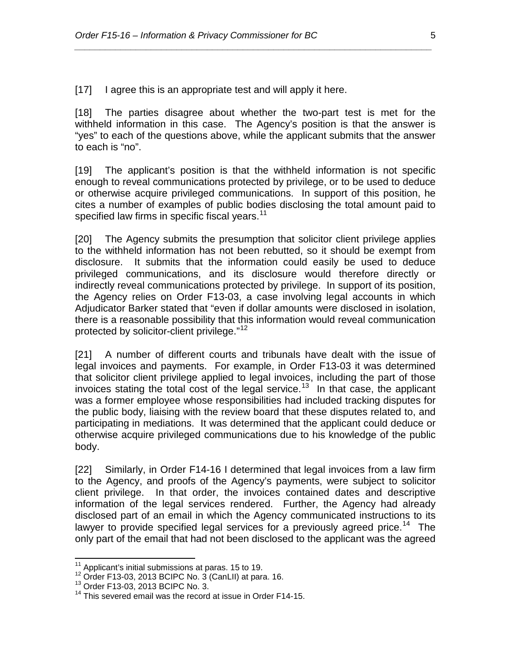[17] I agree this is an appropriate test and will apply it here.

[18] The parties disagree about whether the two-part test is met for the withheld information in this case. The Agency's position is that the answer is "yes" to each of the questions above, while the applicant submits that the answer to each is "no".

*\_\_\_\_\_\_\_\_\_\_\_\_\_\_\_\_\_\_\_\_\_\_\_\_\_\_\_\_\_\_\_\_\_\_\_\_\_\_\_\_\_\_\_\_\_\_\_\_\_\_\_\_\_\_\_\_\_\_\_\_\_\_\_\_\_\_\_\_\_\_*

[19] The applicant's position is that the withheld information is not specific enough to reveal communications protected by privilege, or to be used to deduce or otherwise acquire privileged communications. In support of this position, he cites a number of examples of public bodies disclosing the total amount paid to specified law firms in specific fiscal years.<sup>[11](#page-4-0)</sup>

[20] The Agency submits the presumption that solicitor client privilege applies to the withheld information has not been rebutted, so it should be exempt from disclosure. It submits that the information could easily be used to deduce privileged communications, and its disclosure would therefore directly or indirectly reveal communications protected by privilege. In support of its position, the Agency relies on Order F13-03, a case involving legal accounts in which Adjudicator Barker stated that "even if dollar amounts were disclosed in isolation, there is a reasonable possibility that this information would reveal communication protected by solicitor-client privilege."<sup>[12](#page-4-1)</sup>

[21] A number of different courts and tribunals have dealt with the issue of legal invoices and payments. For example, in Order F13-03 it was determined that solicitor client privilege applied to legal invoices, including the part of those invoices stating the total cost of the legal service. [13](#page-4-2) In that case, the applicant was a former employee whose responsibilities had included tracking disputes for the public body, liaising with the review board that these disputes related to, and participating in mediations. It was determined that the applicant could deduce or otherwise acquire privileged communications due to his knowledge of the public body.

[22] Similarly, in Order F14-16 I determined that legal invoices from a law firm to the Agency, and proofs of the Agency's payments, were subject to solicitor client privilege. In that order, the invoices contained dates and descriptive information of the legal services rendered. Further, the Agency had already disclosed part of an email in which the Agency communicated instructions to its lawyer to provide specified legal services for a previously agreed price.<sup>[14](#page-4-3)</sup> The only part of the email that had not been disclosed to the applicant was the agreed

<span id="page-4-1"></span><span id="page-4-0"></span><sup>&</sup>lt;sup>11</sup> Applicant's initial submissions at paras. 15 to 19.<br><sup>12</sup> Order F13-03, 2013 BCIPC No. 3 (CanLII) at para. 16. <sup>13</sup> Order F13-03, 2013 BCIPC No. 3. <sup>14</sup> This severed email was the record at issue in Order F14-15.

<span id="page-4-2"></span>

<span id="page-4-3"></span>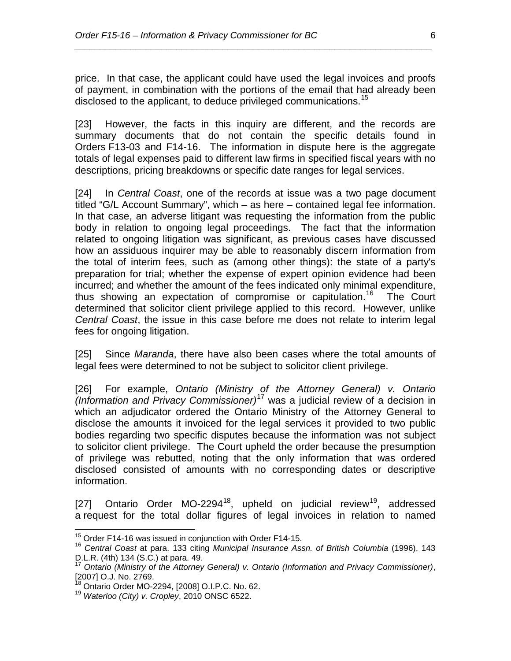price. In that case, the applicant could have used the legal invoices and proofs of payment, in combination with the portions of the email that had already been disclosed to the applicant, to deduce privileged communications.<sup>[15](#page-5-0)</sup>

*\_\_\_\_\_\_\_\_\_\_\_\_\_\_\_\_\_\_\_\_\_\_\_\_\_\_\_\_\_\_\_\_\_\_\_\_\_\_\_\_\_\_\_\_\_\_\_\_\_\_\_\_\_\_\_\_\_\_\_\_\_\_\_\_\_\_\_\_\_\_*

[23] However, the facts in this inquiry are different, and the records are summary documents that do not contain the specific details found in Orders F13-03 and F14-16. The information in dispute here is the aggregate totals of legal expenses paid to different law firms in specified fiscal years with no descriptions, pricing breakdowns or specific date ranges for legal services.

[24] In *Central Coast*, one of the records at issue was a two page document titled "G/L Account Summary", which – as here – contained legal fee information. In that case, an adverse litigant was requesting the information from the public body in relation to ongoing legal proceedings. The fact that the information related to ongoing litigation was significant, as previous cases have discussed how an assiduous inquirer may be able to reasonably discern information from the total of interim fees, such as (among other things): the state of a party's preparation for trial; whether the expense of expert opinion evidence had been incurred; and whether the amount of the fees indicated only minimal expenditure, thus showing an expectation of compromise or capitulation. [16](#page-5-1) The Court determined that solicitor client privilege applied to this record. However, unlike *Central Coast*, the issue in this case before me does not relate to interim legal fees for ongoing litigation.

[25] Since *Maranda*, there have also been cases where the total amounts of legal fees were determined to not be subject to solicitor client privilege.

[26] For example, *Ontario (Ministry of the Attorney General) v. Ontario (Information and Privacy Commissioner)*[17](#page-5-2) was a judicial review of a decision in which an adjudicator ordered the Ontario Ministry of the Attorney General to disclose the amounts it invoiced for the legal services it provided to two public bodies regarding two specific disputes because the information was not subject to solicitor client privilege. The Court upheld the order because the presumption of privilege was rebutted, noting that the only information that was ordered disclosed consisted of amounts with no corresponding dates or descriptive information.

[27] Ontario Order MO-2294<sup>[18](#page-5-3)</sup>, upheld on judicial review<sup>[19](#page-5-4)</sup>, addressed a request for the total dollar figures of legal invoices in relation to named

<span id="page-5-0"></span><sup>&</sup>lt;sup>15</sup> Order F14-16 was issued in conjunction with Order F14-15.

<span id="page-5-1"></span><sup>&</sup>lt;sup>16</sup> *Central Coast at para.* 133 citing *Municipal Insurance Assn. of British Columbia* (1996), 143<br>D.L.R. (4th) 134 (S.C.) at para. 49.<br><sup>17</sup> Ontario (Ministry of the Atternation)

<span id="page-5-2"></span>[D.L.R. \(4th\) 134](https://www.lexisnexis.com/ca/legal/search/runRemoteLink.do?A=0.1594556942349198&bct=A&service=citation&risb=21_T21315658397&langcountry=CA&linkInfo=F%23CA%23DLR4%23vol%25143%25sel1%251996%25page%25134%25year%251996%25sel2%25143%25decisiondate%251996%25) (S.C.) at para. 49. <sup>17</sup> *Ontario (Ministry of the Attorney General) v. Ontario (Information and Privacy Commissioner)*, [2007] O.J. No. 2769.<br><sup>18</sup> Ontario Order MO-2294, [2008] O.I.P.C. No. 62.

<span id="page-5-4"></span><span id="page-5-3"></span><sup>&</sup>lt;sup>19</sup> Waterloo (City) v. Cropley, 2010 ONSC 6522.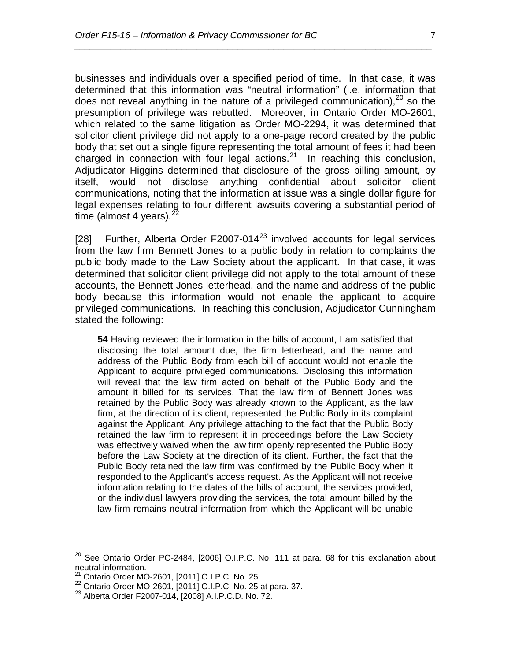businesses and individuals over a specified period of time. In that case, it was determined that this information was "neutral information" (i.e. information that does not reveal anything in the nature of a privileged communication), $^{20}$  $^{20}$  $^{20}$  so the presumption of privilege was rebutted. Moreover, in Ontario Order MO-2601, which related to the same litigation as Order MO-2294, it was determined that solicitor client privilege did not apply to a one-page record created by the public body that set out a single figure representing the total amount of fees it had been charged in connection with four legal actions. $21$  In reaching this conclusion, Adjudicator Higgins determined that disclosure of the gross billing amount, by itself, would not disclose anything confidential about solicitor client communications, noting that the information at issue was a single dollar figure for legal expenses relating to four different lawsuits covering a substantial period of time (almost 4 years). $<sup>2</sup>$ </sup>

*\_\_\_\_\_\_\_\_\_\_\_\_\_\_\_\_\_\_\_\_\_\_\_\_\_\_\_\_\_\_\_\_\_\_\_\_\_\_\_\_\_\_\_\_\_\_\_\_\_\_\_\_\_\_\_\_\_\_\_\_\_\_\_\_\_\_\_\_\_\_*

[28] Further, Alberta Order F2007-014 $^{23}$  $^{23}$  $^{23}$  involved accounts for legal services from the law firm Bennett Jones to a public body in relation to complaints the public body made to the Law Society about the applicant. In that case, it was determined that solicitor client privilege did not apply to the total amount of these accounts, the Bennett Jones letterhead, and the name and address of the public body because this information would not enable the applicant to acquire privileged communications. In reaching this conclusion, Adjudicator Cunningham stated the following:

**54** Having reviewed the information in the bills of account, I am satisfied that disclosing the total amount due, the firm letterhead, and the name and address of the Public Body from each bill of account would not enable the Applicant to acquire privileged communications. Disclosing this information will reveal that the law firm acted on behalf of the Public Body and the amount it billed for its services. That the law firm of Bennett Jones was retained by the Public Body was already known to the Applicant, as the law firm, at the direction of its client, represented the Public Body in its complaint against the Applicant. Any privilege attaching to the fact that the Public Body retained the law firm to represent it in proceedings before the Law Society was effectively waived when the law firm openly represented the Public Body before the Law Society at the direction of its client. Further, the fact that the Public Body retained the law firm was confirmed by the Public Body when it responded to the Applicant's access request. As the Applicant will not receive information relating to the dates of the bills of account, the services provided, or the individual lawyers providing the services, the total amount billed by the law firm remains neutral information from which the Applicant will be unable

<span id="page-6-0"></span> $20$  See Ontario Order PO-2484, [2006] O.I.P.C. No. 111 at para. 68 for this explanation about neutral information.<br><sup>21</sup> Ontario Order MO-2601, [2011] O.I.P.C. No. 25.

<span id="page-6-2"></span><span id="page-6-1"></span><sup>22</sup> Ontario Order MO-2601, [2011] O.I.P.C. No. 25 at para. 37.<br><sup>23</sup> Alberta Order F2007-014, [2008] A.I.P.C.D. No. 72.

<span id="page-6-3"></span>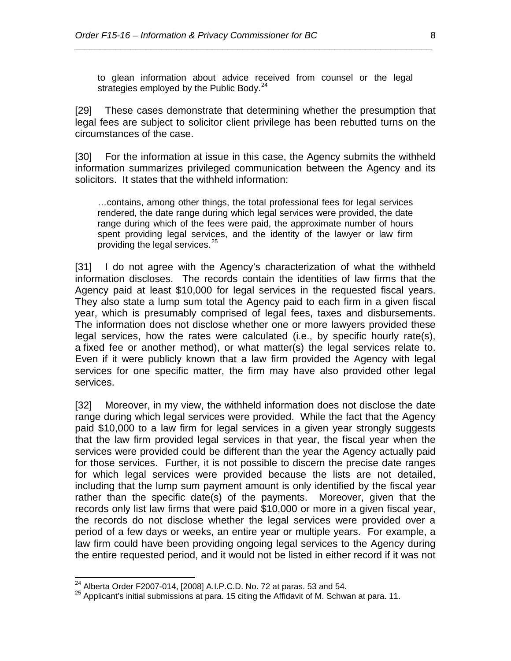to glean information about advice received from counsel or the legal strategies employed by the Public Body.<sup>[24](#page-7-0)</sup>

*\_\_\_\_\_\_\_\_\_\_\_\_\_\_\_\_\_\_\_\_\_\_\_\_\_\_\_\_\_\_\_\_\_\_\_\_\_\_\_\_\_\_\_\_\_\_\_\_\_\_\_\_\_\_\_\_\_\_\_\_\_\_\_\_\_\_\_\_\_\_*

[29] These cases demonstrate that determining whether the presumption that legal fees are subject to solicitor client privilege has been rebutted turns on the circumstances of the case.

[30] For the information at issue in this case, the Agency submits the withheld information summarizes privileged communication between the Agency and its solicitors. It states that the withheld information:

…contains, among other things, the total professional fees for legal services rendered, the date range during which legal services were provided, the date range during which of the fees were paid, the approximate number of hours spent providing legal services, and the identity of the lawyer or law firm providing the legal services. $25$ 

[31] I do not agree with the Agency's characterization of what the withheld information discloses. The records contain the identities of law firms that the Agency paid at least \$10,000 for legal services in the requested fiscal years. They also state a lump sum total the Agency paid to each firm in a given fiscal year, which is presumably comprised of legal fees, taxes and disbursements. The information does not disclose whether one or more lawyers provided these legal services, how the rates were calculated (i.e., by specific hourly rate(s), a fixed fee or another method), or what matter(s) the legal services relate to. Even if it were publicly known that a law firm provided the Agency with legal services for one specific matter, the firm may have also provided other legal services.

[32] Moreover, in my view, the withheld information does not disclose the date range during which legal services were provided. While the fact that the Agency paid \$10,000 to a law firm for legal services in a given year strongly suggests that the law firm provided legal services in that year, the fiscal year when the services were provided could be different than the year the Agency actually paid for those services. Further, it is not possible to discern the precise date ranges for which legal services were provided because the lists are not detailed, including that the lump sum payment amount is only identified by the fiscal year rather than the specific date(s) of the payments. Moreover, given that the records only list law firms that were paid \$10,000 or more in a given fiscal year, the records do not disclose whether the legal services were provided over a period of a few days or weeks, an entire year or multiple years. For example, a law firm could have been providing ongoing legal services to the Agency during the entire requested period, and it would not be listed in either record if it was not

<span id="page-7-1"></span><span id="page-7-0"></span><sup>&</sup>lt;sup>24</sup> Alberta Order F2007-014, [2008] A.I.P.C.D. No. 72 at paras. 53 and 54.<br><sup>25</sup> Applicant's initial submissions at para. 15 citing the Affidavit of M. Schwan at para. 11.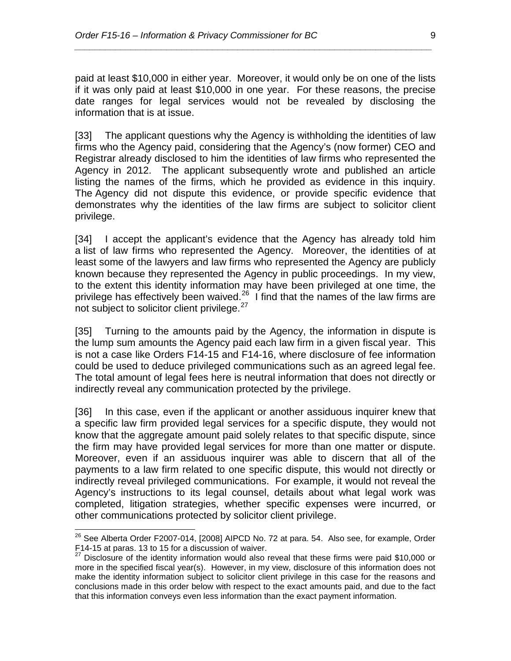paid at least \$10,000 in either year. Moreover, it would only be on one of the lists if it was only paid at least \$10,000 in one year. For these reasons, the precise date ranges for legal services would not be revealed by disclosing the information that is at issue.

*\_\_\_\_\_\_\_\_\_\_\_\_\_\_\_\_\_\_\_\_\_\_\_\_\_\_\_\_\_\_\_\_\_\_\_\_\_\_\_\_\_\_\_\_\_\_\_\_\_\_\_\_\_\_\_\_\_\_\_\_\_\_\_\_\_\_\_\_\_\_*

[33] The applicant questions why the Agency is withholding the identities of law firms who the Agency paid, considering that the Agency's (now former) CEO and Registrar already disclosed to him the identities of law firms who represented the Agency in 2012. The applicant subsequently wrote and published an article listing the names of the firms, which he provided as evidence in this inquiry. The Agency did not dispute this evidence, or provide specific evidence that demonstrates why the identities of the law firms are subject to solicitor client privilege.

[34] I accept the applicant's evidence that the Agency has already told him a list of law firms who represented the Agency. Moreover, the identities of at least some of the lawyers and law firms who represented the Agency are publicly known because they represented the Agency in public proceedings. In my view, to the extent this identity information may have been privileged at one time, the privilege has effectively been waived.<sup>26</sup> I find that the names of the law firms are not subject to solicitor client privilege.<sup>[27](#page-8-1)</sup>

[35] Turning to the amounts paid by the Agency, the information in dispute is the lump sum amounts the Agency paid each law firm in a given fiscal year. This is not a case like Orders F14-15 and F14-16, where disclosure of fee information could be used to deduce privileged communications such as an agreed legal fee. The total amount of legal fees here is neutral information that does not directly or indirectly reveal any communication protected by the privilege.

[36] In this case, even if the applicant or another assiduous inquirer knew that a specific law firm provided legal services for a specific dispute, they would not know that the aggregate amount paid solely relates to that specific dispute, since the firm may have provided legal services for more than one matter or dispute. Moreover, even if an assiduous inquirer was able to discern that all of the payments to a law firm related to one specific dispute, this would not directly or indirectly reveal privileged communications. For example, it would not reveal the Agency's instructions to its legal counsel, details about what legal work was completed, litigation strategies, whether specific expenses were incurred, or other communications protected by solicitor client privilege.

<span id="page-8-0"></span> $^{26}$  See Alberta Order F2007-014, [2008] AIPCD No. 72 at para. 54. Also see, for example, Order F14-15 at paras. 13 to 15 for a discussion of waiver.

<span id="page-8-1"></span> $27$  Disclosure of the identity information would also reveal that these firms were paid \$10,000 or more in the specified fiscal year(s). However, in my view, disclosure of this information does not make the identity information subject to solicitor client privilege in this case for the reasons and conclusions made in this order below with respect to the exact amounts paid, and due to the fact that this information conveys even less information than the exact payment information.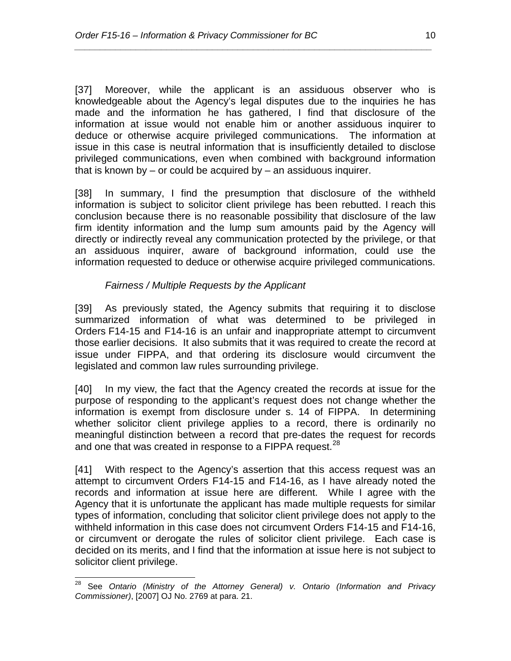[37] Moreover, while the applicant is an assiduous observer who is knowledgeable about the Agency's legal disputes due to the inquiries he has made and the information he has gathered, I find that disclosure of the information at issue would not enable him or another assiduous inquirer to deduce or otherwise acquire privileged communications. The information at issue in this case is neutral information that is insufficiently detailed to disclose privileged communications, even when combined with background information that is known by  $-$  or could be acquired by  $-$  an assiduous inquirer.

*\_\_\_\_\_\_\_\_\_\_\_\_\_\_\_\_\_\_\_\_\_\_\_\_\_\_\_\_\_\_\_\_\_\_\_\_\_\_\_\_\_\_\_\_\_\_\_\_\_\_\_\_\_\_\_\_\_\_\_\_\_\_\_\_\_\_\_\_\_\_*

[38] In summary, I find the presumption that disclosure of the withheld information is subject to solicitor client privilege has been rebutted. I reach this conclusion because there is no reasonable possibility that disclosure of the law firm identity information and the lump sum amounts paid by the Agency will directly or indirectly reveal any communication protected by the privilege, or that an assiduous inquirer, aware of background information, could use the information requested to deduce or otherwise acquire privileged communications.

## *Fairness / Multiple Requests by the Applicant*

[39] As previously stated, the Agency submits that requiring it to disclose summarized information of what was determined to be privileged in Orders F14-15 and F14-16 is an unfair and inappropriate attempt to circumvent those earlier decisions. It also submits that it was required to create the record at issue under FIPPA, and that ordering its disclosure would circumvent the legislated and common law rules surrounding privilege.

[40] In my view, the fact that the Agency created the records at issue for the purpose of responding to the applicant's request does not change whether the information is exempt from disclosure under s. 14 of FIPPA. In determining whether solicitor client privilege applies to a record, there is ordinarily no meaningful distinction between a record that pre-dates the request for records and one that was created in response to a FIPPA request.<sup>[28](#page-9-0)</sup>

[41] With respect to the Agency's assertion that this access request was an attempt to circumvent Orders F14-15 and F14-16, as I have already noted the records and information at issue here are different. While I agree with the Agency that it is unfortunate the applicant has made multiple requests for similar types of information, concluding that solicitor client privilege does not apply to the withheld information in this case does not circumvent Orders F14-15 and F14-16, or circumvent or derogate the rules of solicitor client privilege. Each case is decided on its merits, and I find that the information at issue here is not subject to solicitor client privilege.

<span id="page-9-0"></span> <sup>28</sup> See *Ontario (Ministry of the Attorney General) v. Ontario (Information and Privacy Commissioner)*, [2007] OJ No. 2769 at para. 21.